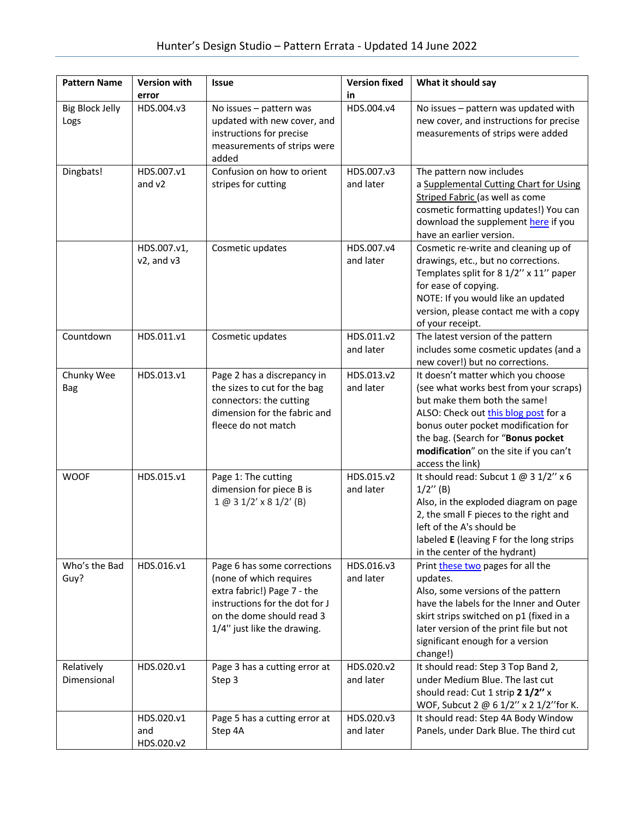| <b>Pattern Name</b>            | <b>Version with</b>             | <b>Issue</b>                                                                                                                                                                        | <b>Version fixed</b>    | What it should say                                                                                                                                                                                                                                                                              |
|--------------------------------|---------------------------------|-------------------------------------------------------------------------------------------------------------------------------------------------------------------------------------|-------------------------|-------------------------------------------------------------------------------------------------------------------------------------------------------------------------------------------------------------------------------------------------------------------------------------------------|
|                                | error                           |                                                                                                                                                                                     | in                      |                                                                                                                                                                                                                                                                                                 |
| <b>Big Block Jelly</b><br>Logs | HDS.004.v3                      | No issues - pattern was<br>updated with new cover, and<br>instructions for precise<br>measurements of strips were<br>added                                                          | HDS.004.v4              | No issues - pattern was updated with<br>new cover, and instructions for precise<br>measurements of strips were added                                                                                                                                                                            |
| Dingbats!                      | HDS.007.v1<br>and $v2$          | Confusion on how to orient<br>stripes for cutting                                                                                                                                   | HDS.007.v3<br>and later | The pattern now includes<br>a Supplemental Cutting Chart for Using<br>Striped Fabric (as well as come<br>cosmetic formatting updates!) You can<br>download the supplement here if you<br>have an earlier version.                                                                               |
|                                | HDS.007.v1,<br>v2, and v3       | Cosmetic updates                                                                                                                                                                    | HDS.007.v4<br>and later | Cosmetic re-write and cleaning up of<br>drawings, etc., but no corrections.<br>Templates split for 8 1/2" x 11" paper<br>for ease of copying.<br>NOTE: If you would like an updated<br>version, please contact me with a copy<br>of your receipt.                                               |
| Countdown                      | HDS.011.v1                      | Cosmetic updates                                                                                                                                                                    | HDS.011.v2<br>and later | The latest version of the pattern<br>includes some cosmetic updates (and a<br>new cover!) but no corrections.                                                                                                                                                                                   |
| Chunky Wee<br><b>Bag</b>       | HDS.013.v1                      | Page 2 has a discrepancy in<br>the sizes to cut for the bag<br>connectors: the cutting<br>dimension for the fabric and<br>fleece do not match                                       | HDS.013.v2<br>and later | It doesn't matter which you choose<br>(see what works best from your scraps)<br>but make them both the same!<br>ALSO: Check out this blog post for a<br>bonus outer pocket modification for<br>the bag. (Search for "Bonus pocket<br>modification" on the site if you can't<br>access the link) |
| <b>WOOF</b>                    | HDS.015.v1                      | Page 1: The cutting<br>dimension for piece B is<br>$1 @ 3 1/2' \times 8 1/2' (B)$                                                                                                   | HDS.015.v2<br>and later | It should read: Subcut 1 @ 3 1/2" x 6<br>$1/2''$ (B)<br>Also, in the exploded diagram on page<br>2, the small F pieces to the right and<br>left of the A's should be<br>labeled E (leaving F for the long strips<br>in the center of the hydrant)                                               |
| Who's the Bad<br>Guy?          | HDS.016.v1                      | Page 6 has some corrections<br>(none of which requires<br>extra fabric!) Page 7 - the<br>instructions for the dot for J<br>on the dome should read 3<br>1/4" just like the drawing. | HDS.016.v3<br>and later | Print these two pages for all the<br>updates.<br>Also, some versions of the pattern<br>have the labels for the Inner and Outer<br>skirt strips switched on p1 (fixed in a<br>later version of the print file but not<br>significant enough for a version<br>change!)                            |
| Relatively<br>Dimensional      | HDS.020.v1                      | Page 3 has a cutting error at<br>Step 3                                                                                                                                             | HDS.020.v2<br>and later | It should read: Step 3 Top Band 2,<br>under Medium Blue. The last cut<br>should read: Cut 1 strip 2 1/2" x<br>WOF, Subcut 2 @ 6 1/2" x 2 1/2" for K.                                                                                                                                            |
|                                | HDS.020.v1<br>and<br>HDS.020.v2 | Page 5 has a cutting error at<br>Step 4A                                                                                                                                            | HDS.020.v3<br>and later | It should read: Step 4A Body Window<br>Panels, under Dark Blue. The third cut                                                                                                                                                                                                                   |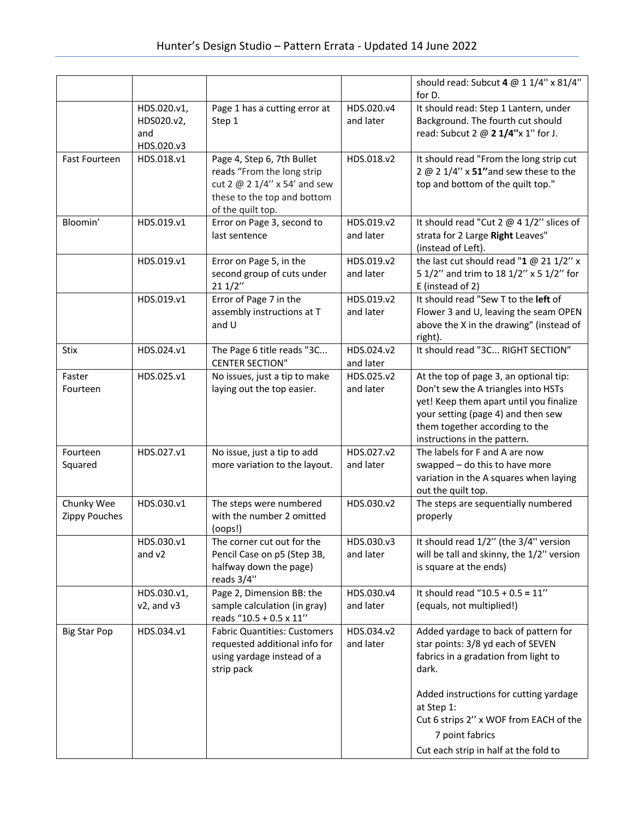|                                    |                                                |                                                                                                                                              |                         | should read: Subcut 4 $@$ 1 1/4" x 81/4"<br>for D.                                                                                                                                                                                              |
|------------------------------------|------------------------------------------------|----------------------------------------------------------------------------------------------------------------------------------------------|-------------------------|-------------------------------------------------------------------------------------------------------------------------------------------------------------------------------------------------------------------------------------------------|
|                                    | HDS.020.v1,<br>HDS020.v2,<br>and<br>HDS.020.v3 | Page 1 has a cutting error at<br>Step 1                                                                                                      | HDS.020.v4<br>and later | It should read: Step 1 Lantern, under<br>Background. The fourth cut should<br>read: Subcut 2 @ 2 1/4"x 1" for J.                                                                                                                                |
| <b>Fast Fourteen</b>               | HDS.018.v1                                     | Page 4, Step 6, 7th Bullet<br>reads "From the long strip<br>cut 2 @ 2 1/4" x 54' and sew<br>these to the top and bottom<br>of the quilt top. | HDS.018.v2              | It should read "From the long strip cut<br>2 $@$ 2 $1/4$ " x 51" and sew these to the<br>top and bottom of the quilt top."                                                                                                                      |
| Bloomin'                           | HDS.019.v1                                     | Error on Page 3, second to<br>last sentence                                                                                                  | HDS.019.v2<br>and later | It should read "Cut 2 @ 4 1/2" slices of<br>strata for 2 Large Right Leaves"<br>(instead of Left).                                                                                                                                              |
|                                    | HDS.019.v1                                     | Error on Page 5, in the<br>second group of cuts under<br>211/2"                                                                              | HDS.019.v2<br>and later | the last cut should read "1 $@$ 21 1/2" x<br>5 1/2" and trim to 18 1/2" x 5 1/2" for<br>E (instead of 2)                                                                                                                                        |
|                                    | HDS.019.v1                                     | Error of Page 7 in the<br>assembly instructions at T<br>and U                                                                                | HDS.019.v2<br>and later | It should read "Sew T to the left of<br>Flower 3 and U, leaving the seam OPEN<br>above the X in the drawing" (instead of<br>right).                                                                                                             |
| Stix                               | HDS.024.v1                                     | The Page 6 title reads "3C<br><b>CENTER SECTION"</b>                                                                                         | HDS.024.v2<br>and later | It should read "3C RIGHT SECTION"                                                                                                                                                                                                               |
| Faster<br>Fourteen                 | HDS.025.v1                                     | No issues, just a tip to make<br>laying out the top easier.                                                                                  | HDS.025.v2<br>and later | At the top of page 3, an optional tip:<br>Don't sew the A triangles into HSTs<br>yet! Keep them apart until you finalize<br>your setting (page 4) and then sew<br>them together according to the<br>instructions in the pattern.                |
| Fourteen<br>Squared                | HDS.027.v1                                     | No issue, just a tip to add<br>more variation to the layout.                                                                                 | HDS.027.v2<br>and later | The labels for F and A are now<br>swapped - do this to have more<br>variation in the A squares when laying<br>out the quilt top.                                                                                                                |
| Chunky Wee<br><b>Zippy Pouches</b> | HDS.030.v1                                     | The steps were numbered<br>with the number 2 omitted<br>(oops!)                                                                              | HDS.030.v2              | The steps are sequentially numbered<br>properly                                                                                                                                                                                                 |
|                                    | HDS.030.v1<br>and $v2$                         | The corner cut out for the<br>Pencil Case on p5 (Step 3B,<br>halfway down the page)<br>reads 3/4"                                            | HDS.030.v3<br>and later | It should read 1/2" (the 3/4" version<br>will be tall and skinny, the 1/2" version<br>is square at the ends)                                                                                                                                    |
|                                    | HDS.030.v1,<br>$v2$ , and $v3$                 | Page 2, Dimension BB: the<br>sample calculation (in gray)<br>reads "10.5 + 0.5 x 11"                                                         | HDS.030.v4<br>and later | It should read "10.5 + 0.5 = $11$ "<br>(equals, not multiplied!)                                                                                                                                                                                |
| <b>Big Star Pop</b>                | HDS.034.v1                                     | <b>Fabric Quantities: Customers</b><br>requested additional info for<br>using yardage instead of a<br>strip pack                             | HDS.034.v2<br>and later | Added yardage to back of pattern for<br>star points: 3/8 yd each of SEVEN<br>fabrics in a gradation from light to<br>dark.<br>Added instructions for cutting yardage<br>at Step 1:<br>Cut 6 strips 2" x WOF from EACH of the<br>7 point fabrics |
|                                    |                                                |                                                                                                                                              |                         | Cut each strip in half at the fold to                                                                                                                                                                                                           |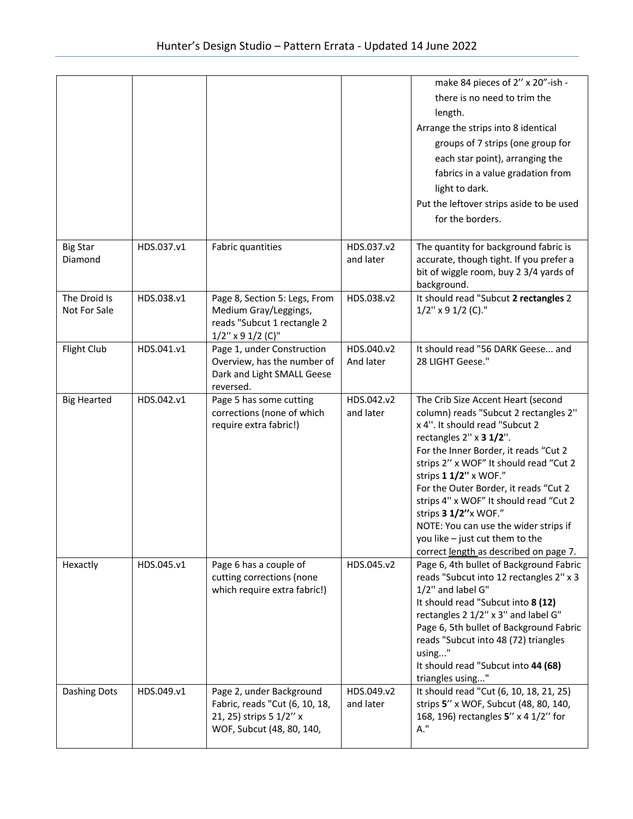|                              |            |                                                                                                                    |                         | make 84 pieces of 2" x 20"-ish -<br>there is no need to trim the<br>length.<br>Arrange the strips into 8 identical<br>groups of 7 strips (one group for<br>each star point), arranging the<br>fabrics in a value gradation from<br>light to dark.<br>Put the leftover strips aside to be used<br>for the borders.                                                                                                                                                                       |
|------------------------------|------------|--------------------------------------------------------------------------------------------------------------------|-------------------------|-----------------------------------------------------------------------------------------------------------------------------------------------------------------------------------------------------------------------------------------------------------------------------------------------------------------------------------------------------------------------------------------------------------------------------------------------------------------------------------------|
| <b>Big Star</b><br>Diamond   | HDS.037.v1 | Fabric quantities                                                                                                  | HDS.037.v2<br>and later | The quantity for background fabric is<br>accurate, though tight. If you prefer a<br>bit of wiggle room, buy 2 3/4 yards of<br>background.                                                                                                                                                                                                                                                                                                                                               |
| The Droid Is<br>Not For Sale | HDS.038.v1 | Page 8, Section 5: Legs, From<br>Medium Gray/Leggings,<br>reads "Subcut 1 rectangle 2<br>$1/2$ " x 9 $1/2$ (C)"    | HDS.038.v2              | It should read "Subcut 2 rectangles 2<br>$1/2$ " x 9 $1/2$ (C)."                                                                                                                                                                                                                                                                                                                                                                                                                        |
| Flight Club                  | HDS.041.v1 | Page 1, under Construction<br>Overview, has the number of<br>Dark and Light SMALL Geese<br>reversed.               | HDS.040.v2<br>And later | It should read "56 DARK Geese and<br>28 LIGHT Geese."                                                                                                                                                                                                                                                                                                                                                                                                                                   |
| <b>Big Hearted</b>           | HDS.042.v1 | Page 5 has some cutting<br>corrections (none of which<br>require extra fabric!)                                    | HDS.042.v2<br>and later | The Crib Size Accent Heart (second<br>column) reads "Subcut 2 rectangles 2"<br>x 4". It should read "Subcut 2<br>rectangles 2" x 3 1/2".<br>For the Inner Border, it reads "Cut 2<br>strips 2" x WOF" It should read "Cut 2<br>strips 1 1/2" x WOF."<br>For the Outer Border, it reads "Cut 2<br>strips 4" x WOF" It should read "Cut 2<br>strips 3 1/2"x WOF."<br>NOTE: You can use the wider strips if<br>you like $-$ just cut them to the<br>correct length as described on page 7. |
| Hexactly                     | HDS.045.v1 | Page 6 has a couple of<br>cutting corrections (none<br>which require extra fabric!)                                | HDS.045.v2              | Page 6, 4th bullet of Background Fabric<br>reads "Subcut into 12 rectangles 2" x 3<br>1/2" and label G"<br>It should read "Subcut into 8 (12)<br>rectangles 2 1/2" x 3" and label G"<br>Page 6, 5th bullet of Background Fabric<br>reads "Subcut into 48 (72) triangles<br>using"<br>It should read "Subcut into 44 (68)<br>triangles using"                                                                                                                                            |
| Dashing Dots                 | HDS.049.v1 | Page 2, under Background<br>Fabric, reads "Cut (6, 10, 18,<br>21, 25) strips 5 1/2" x<br>WOF, Subcut (48, 80, 140, | HDS.049.v2<br>and later | It should read "Cut (6, 10, 18, 21, 25)<br>strips 5" x WOF, Subcut (48, 80, 140,<br>168, 196) rectangles 5" x 4 1/2" for<br>A."                                                                                                                                                                                                                                                                                                                                                         |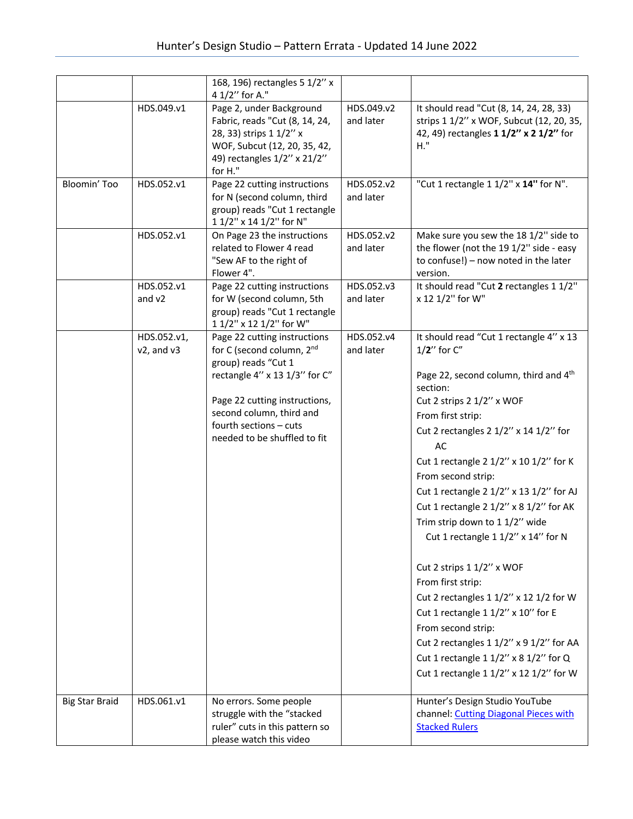|                       |                                | 168, 196) rectangles 5 1/2" x<br>4 1/2" for A."                                                                                                                                                                                                      |                         |                                                                                                                                                                                                                                                                                                                                                                                                                                                                                                                                                                                                                                                                                                                                                                  |
|-----------------------|--------------------------------|------------------------------------------------------------------------------------------------------------------------------------------------------------------------------------------------------------------------------------------------------|-------------------------|------------------------------------------------------------------------------------------------------------------------------------------------------------------------------------------------------------------------------------------------------------------------------------------------------------------------------------------------------------------------------------------------------------------------------------------------------------------------------------------------------------------------------------------------------------------------------------------------------------------------------------------------------------------------------------------------------------------------------------------------------------------|
|                       | HDS.049.v1                     | Page 2, under Background<br>Fabric, reads "Cut (8, 14, 24,<br>28, 33) strips 1 1/2" x<br>WOF, Subcut (12, 20, 35, 42,<br>49) rectangles 1/2" x 21/2"<br>for H."                                                                                      | HDS.049.v2<br>and later | It should read "Cut (8, 14, 24, 28, 33)<br>strips 1 1/2" x WOF, Subcut (12, 20, 35,<br>42, 49) rectangles 1 1/2" x 2 1/2" for<br>H."                                                                                                                                                                                                                                                                                                                                                                                                                                                                                                                                                                                                                             |
| Bloomin' Too          | HDS.052.v1                     | Page 22 cutting instructions<br>for N (second column, third<br>group) reads "Cut 1 rectangle<br>1 1/2" x 14 1/2" for N"                                                                                                                              | HDS.052.v2<br>and later | "Cut 1 rectangle 1 1/2" x 14" for N".                                                                                                                                                                                                                                                                                                                                                                                                                                                                                                                                                                                                                                                                                                                            |
|                       | HDS.052.v1                     | On Page 23 the instructions<br>related to Flower 4 read<br>"Sew AF to the right of<br>Flower 4".                                                                                                                                                     | HDS.052.v2<br>and later | Make sure you sew the 18 1/2" side to<br>the flower (not the 19 1/2" side - easy<br>to confuse!) - now noted in the later<br>version.                                                                                                                                                                                                                                                                                                                                                                                                                                                                                                                                                                                                                            |
|                       | HDS.052.v1<br>and $v2$         | Page 22 cutting instructions<br>for W (second column, 5th<br>group) reads "Cut 1 rectangle<br>1 1/2" x 12 1/2" for W"                                                                                                                                | HDS.052.v3<br>and later | It should read "Cut 2 rectangles 1 1/2"<br>x 12 1/2" for W"                                                                                                                                                                                                                                                                                                                                                                                                                                                                                                                                                                                                                                                                                                      |
|                       | HDS.052.v1,<br>$v2$ , and $v3$ | Page 22 cutting instructions<br>for C (second column, 2 <sup>nd</sup><br>group) reads "Cut 1<br>rectangle 4" x 13 1/3" for C"<br>Page 22 cutting instructions,<br>second column, third and<br>fourth sections - cuts<br>needed to be shuffled to fit | HDS.052.v4<br>and later | It should read "Cut 1 rectangle 4" x 13<br>$1/2$ " for $C$ "<br>Page 22, second column, third and 4 <sup>th</sup><br>section:<br>Cut 2 strips 2 1/2" x WOF<br>From first strip:<br>Cut 2 rectangles 2 1/2" x 14 1/2" for<br>AC<br>Cut 1 rectangle 2 1/2" x 10 1/2" for K<br>From second strip:<br>Cut 1 rectangle 2 1/2" x 13 1/2" for AJ<br>Cut 1 rectangle 2 1/2" x 8 1/2" for AK<br>Trim strip down to 1 1/2" wide<br>Cut 1 rectangle $11/2$ " x $14$ " for N<br>Cut 2 strips 1 1/2" x WOF<br>From first strip:<br>Cut 2 rectangles 1 1/2" x 12 1/2 for W<br>Cut 1 rectangle $11/2''$ x $10''$ for E<br>From second strip:<br>Cut 2 rectangles 1 1/2" x 9 1/2" for AA<br>Cut 1 rectangle $11/2$ " x 8 $1/2$ " for Q<br>Cut 1 rectangle 1 1/2" x 12 1/2" for W |
| <b>Big Star Braid</b> | HDS.061.v1                     | No errors. Some people<br>struggle with the "stacked<br>ruler" cuts in this pattern so<br>please watch this video                                                                                                                                    |                         | Hunter's Design Studio YouTube<br>channel: Cutting Diagonal Pieces with<br><b>Stacked Rulers</b>                                                                                                                                                                                                                                                                                                                                                                                                                                                                                                                                                                                                                                                                 |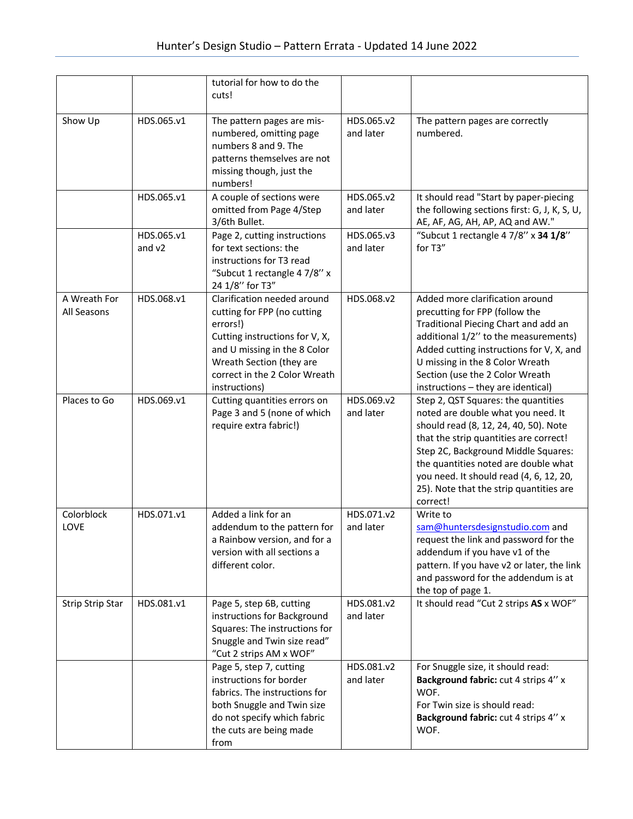|                             |                        | tutorial for how to do the<br>cuts!                                                                                                                                                                                    |                         |                                                                                                                                                                                                                                                                                                                                               |
|-----------------------------|------------------------|------------------------------------------------------------------------------------------------------------------------------------------------------------------------------------------------------------------------|-------------------------|-----------------------------------------------------------------------------------------------------------------------------------------------------------------------------------------------------------------------------------------------------------------------------------------------------------------------------------------------|
| Show Up                     | HDS.065.v1             | The pattern pages are mis-<br>numbered, omitting page<br>numbers 8 and 9. The<br>patterns themselves are not<br>missing though, just the<br>numbers!                                                                   | HDS.065.v2<br>and later | The pattern pages are correctly<br>numbered.                                                                                                                                                                                                                                                                                                  |
|                             | HDS.065.v1             | A couple of sections were<br>omitted from Page 4/Step<br>3/6th Bullet.                                                                                                                                                 | HDS.065.v2<br>and later | It should read "Start by paper-piecing<br>the following sections first: G, J, K, S, U,<br>AE, AF, AG, AH, AP, AQ and AW."                                                                                                                                                                                                                     |
|                             | HDS.065.v1<br>and $v2$ | Page 2, cutting instructions<br>for text sections: the<br>instructions for T3 read<br>"Subcut 1 rectangle 4 7/8" x<br>24 1/8" for T3"                                                                                  | HDS.065.v3<br>and later | "Subcut 1 rectangle 4 7/8" x 34 1/8"<br>for T3"                                                                                                                                                                                                                                                                                               |
| A Wreath For<br>All Seasons | HDS.068.v1             | Clarification needed around<br>cutting for FPP (no cutting<br>errors!)<br>Cutting instructions for V, X,<br>and U missing in the 8 Color<br>Wreath Section (they are<br>correct in the 2 Color Wreath<br>instructions) | HDS.068.v2              | Added more clarification around<br>precutting for FPP (follow the<br>Traditional Piecing Chart and add an<br>additional 1/2" to the measurements)<br>Added cutting instructions for V, X, and<br>U missing in the 8 Color Wreath<br>Section (use the 2 Color Wreath<br>instructions - they are identical)                                     |
| Places to Go                | HDS.069.v1             | Cutting quantities errors on<br>Page 3 and 5 (none of which<br>require extra fabric!)                                                                                                                                  | HDS.069.v2<br>and later | Step 2, QST Squares: the quantities<br>noted are double what you need. It<br>should read (8, 12, 24, 40, 50). Note<br>that the strip quantities are correct!<br>Step 2C, Background Middle Squares:<br>the quantities noted are double what<br>you need. It should read (4, 6, 12, 20,<br>25). Note that the strip quantities are<br>correct! |
| Colorblock<br><b>LOVE</b>   | HDS.071.v1             | Added a link for an<br>addendum to the pattern for<br>a Rainbow version, and for a<br>version with all sections a<br>different color.                                                                                  | HDS.071.v2<br>and later | Write to<br>sam@huntersdesignstudio.com and<br>request the link and password for the<br>addendum if you have v1 of the<br>pattern. If you have v2 or later, the link<br>and password for the addendum is at<br>the top of page 1.                                                                                                             |
| <b>Strip Strip Star</b>     | HDS.081.v1             | Page 5, step 6B, cutting<br>instructions for Background<br>Squares: The instructions for<br>Snuggle and Twin size read"<br>"Cut 2 strips AM x WOF"                                                                     | HDS.081.v2<br>and later | It should read "Cut 2 strips AS x WOF"                                                                                                                                                                                                                                                                                                        |
|                             |                        | Page 5, step 7, cutting<br>instructions for border<br>fabrics. The instructions for<br>both Snuggle and Twin size<br>do not specify which fabric<br>the cuts are being made<br>from                                    | HDS.081.v2<br>and later | For Snuggle size, it should read:<br>Background fabric: cut 4 strips 4" x<br>WOF.<br>For Twin size is should read:<br>Background fabric: cut 4 strips 4" x<br>WOF.                                                                                                                                                                            |